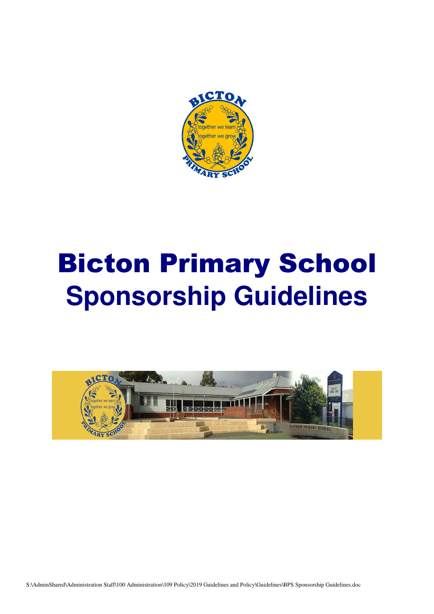

# Bicton Primary School **Sponsorship Guidelines**

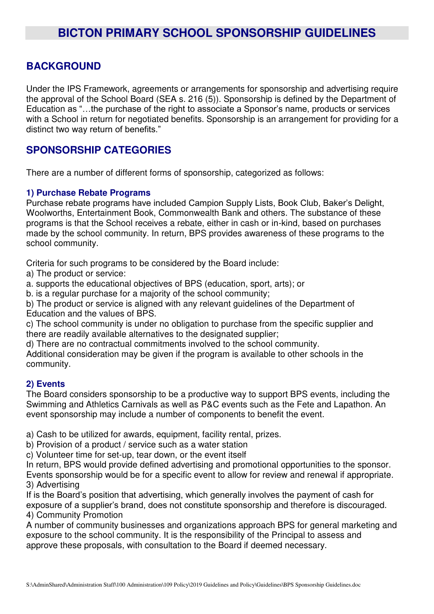## **BACKGROUND**

Under the IPS Framework, agreements or arrangements for sponsorship and advertising require the approval of the School Board (SEA s. 216 (5)). Sponsorship is defined by the Department of Education as "…the purchase of the right to associate a Sponsor's name, products or services with a School in return for negotiated benefits. Sponsorship is an arrangement for providing for a distinct two way return of benefits."

## **SPONSORSHIP CATEGORIES**

There are a number of different forms of sponsorship, categorized as follows:

#### **1) Purchase Rebate Programs**

Purchase rebate programs have included Campion Supply Lists, Book Club, Baker's Delight, Woolworths, Entertainment Book, Commonwealth Bank and others. The substance of these programs is that the School receives a rebate, either in cash or in-kind, based on purchases made by the school community. In return, BPS provides awareness of these programs to the school community.

Criteria for such programs to be considered by the Board include:

a) The product or service:

a. supports the educational objectives of BPS (education, sport, arts); or

b. is a regular purchase for a majority of the school community;

b) The product or service is aligned with any relevant guidelines of the Department of Education and the values of BPS.

c) The school community is under no obligation to purchase from the specific supplier and there are readily available alternatives to the designated supplier;

d) There are no contractual commitments involved to the school community.

Additional consideration may be given if the program is available to other schools in the community.

#### **2) Events**

The Board considers sponsorship to be a productive way to support BPS events, including the Swimming and Athletics Carnivals as well as P&C events such as the Fete and Lapathon. An event sponsorship may include a number of components to benefit the event.

a) Cash to be utilized for awards, equipment, facility rental, prizes.

b) Provision of a product / service such as a water station

c) Volunteer time for set-up, tear down, or the event itself

In return, BPS would provide defined advertising and promotional opportunities to the sponsor. Events sponsorship would be for a specific event to allow for review and renewal if appropriate. 3) Advertising

If is the Board's position that advertising, which generally involves the payment of cash for exposure of a supplier's brand, does not constitute sponsorship and therefore is discouraged. 4) Community Promotion

A number of community businesses and organizations approach BPS for general marketing and exposure to the school community. It is the responsibility of the Principal to assess and approve these proposals, with consultation to the Board if deemed necessary.